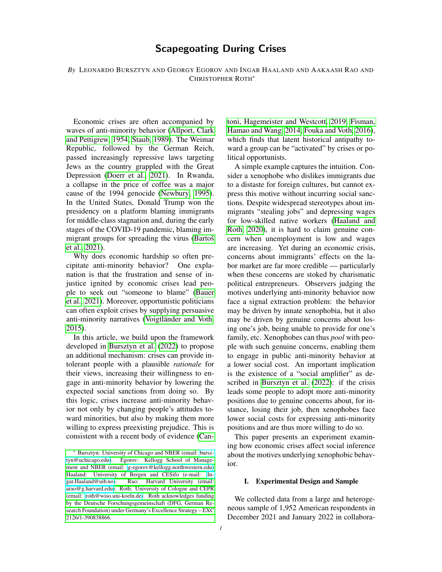# Scapegoating During Crises

*By* LEONARDO BURSZTYN AND GEORGY EGOROV AND INGAR HAALAND AND AAKAASH RAO AND CHRISTOPHER ROTH\*

Economic crises are often accompanied by waves of anti-minority behavior [\(Allport, Clark](#page-4-0) [and Pettigrew, 1954;](#page-4-0) [Staub, 1989\)](#page-5-0). The Weimar Republic, followed by the German Reich, passed increasingly repressive laws targeting Jews as the country grappled with the Great Depression [\(Doerr et al., 2021\)](#page-5-1). In Rwanda, a collapse in the price of coffee was a major cause of the 1994 genocide [\(Newbury, 1995\)](#page-5-2). In the United States, Donald Trump won the presidency on a platform blaming immigrants for middle-class stagnation and, during the early stages of the COVID-19 pandemic, blaming immigrant groups for spreading the virus (Bartoš [et al., 2021\)](#page-4-1).

Why does economic hardship so often precipitate anti-minority behavior? One explanation is that the frustration and sense of injustice ignited by economic crises lead people to seek out "someone to blame" [\(Bauer](#page-4-2) [et al., 2021\)](#page-4-2). Moreover, opportunistic politicians can often exploit crises by supplying persuasive anti-minority narratives (Voigtländer and Voth, [2015\)](#page-5-3).

In this article, we build upon the framework developed in [Bursztyn et al.](#page-4-3) [\(2022\)](#page-4-3) to propose an additional mechanism: crises can provide intolerant people with a plausible *rationale* for their views, increasing their willingness to engage in anti-minority behavior by lowering the expected social sanctions from doing so. By this logic, crises increase anti-minority behavior not only by changing people's attitudes toward minorities, but also by making them more willing to express preexisting prejudice. This is consistent with a recent body of evidence [\(Can-](#page-4-4) [toni, Hagemeister and Westcott, 2019;](#page-4-4) [Fisman,](#page-5-4) [Hamao and Wang, 2014;](#page-5-4) [Fouka and Voth, 2016\)](#page-5-5), which finds that latent historical antipathy toward a group can be "activated" by crises or political opportunists.

A simple example captures the intuition. Consider a xenophobe who dislikes immigrants due to a distaste for foreign cultures, but cannot express this motive without incurring social sanctions. Despite widespread stereotypes about immigrants "stealing jobs" and depressing wages for low-skilled native workers [\(Haaland and](#page-5-6) [Roth, 2020\)](#page-5-6), it is hard to claim genuine concern when unemployment is low and wages are increasing. Yet during an economic crisis, concerns about immigrants' effects on the labor market are far more credible — particularly when these concerns are stoked by charismatic political entrepreneurs. Observers judging the motives underlying anti-minority behavior now face a signal extraction problem: the behavior may be driven by innate xenophobia, but it also may be driven by genuine concerns about losing one's job, being unable to provide for one's family, etc. Xenophobes can thus *pool* with people with such genuine concerns, enabling them to engage in public anti-minority behavior at a lower social cost. An important implication is the existence of a "social amplifier" as described in [Bursztyn et al.](#page-4-3) [\(2022\)](#page-4-3): if the crisis leads some people to adopt more anti-minority positions due to genuine concerns about, for instance, losing their job, then xenophobes face lower social costs for expressing anti-minority positions and are thus more willing to do so.

This paper presents an experiment examining how economic crises affect social inference about the motives underlying xenophobic behavior.

#### I. Experimental Design and Sample

We collected data from a large and heterogeneous sample of 1,952 American respondents in December 2021 and January 2022 in collabora-

<sup>\*</sup> [Bursztyn: University of Chicago and NBER \(email: bursz](#page-4-4)[tyn@uchicago.edu\). Egorov: Kellogg School of Manage](#page-4-4)[ment and NBER \(email: g-egorov@kellogg.northwestern.edu\)](#page-4-4) [Haaland: University of Bergen and CESifo \(e-mail: In](#page-4-4)[gar.Haaland@uib.no\). Rao: Harvard University \(email:](#page-4-4) [arao@g.harvard.edu\). Roth: University of Cologne and CEPR](#page-4-4) [\(email: roth@wiso.uni-koeln.de\). Roth acknowledges funding](#page-4-4) [by the Deutsche Forschungsgemeinschaft \(DFG, German Re](#page-4-4)[search Foundation\) under Germany's Excellence Strategy – EXC](#page-4-4) [2126/1-390838866.](#page-4-4)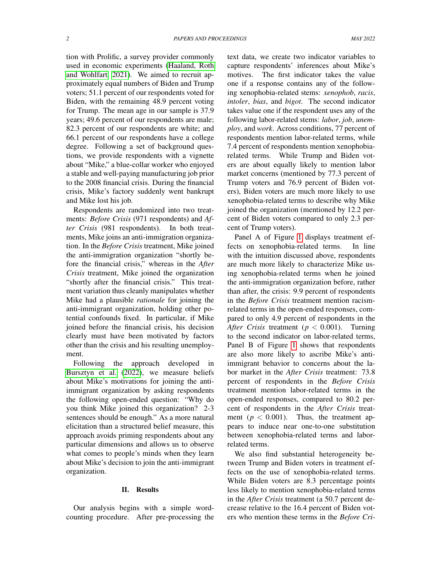tion with Prolific, a survey provider commonly used in economic experiments [\(Haaland, Roth](#page-5-7) [and Wohlfart, 2021\)](#page-5-7). We aimed to recruit approximately equal numbers of Biden and Trump voters; 51.1 percent of our respondents voted for Biden, with the remaining 48.9 percent voting for Trump. The mean age in our sample is 37.9 years; 49.6 percent of our respondents are male; 82.3 percent of our respondents are white; and 66.1 percent of our respondents have a college degree. Following a set of background questions, we provide respondents with a vignette about "Mike," a blue-collar worker who enjoyed a stable and well-paying manufacturing job prior to the 2008 financial crisis. During the financial crisis, Mike's factory suddenly went bankrupt and Mike lost his job.

Respondents are randomized into two treatments: *Before Crisis* (971 respondents) and *After Crisis* (981 respondents). In both treatments, Mike joins an anti-immigration organization. In the *Before Crisis* treatment, Mike joined the anti-immigration organization "shortly before the financial crisis," whereas in the *After Crisis* treatment, Mike joined the organization "shortly after the financial crisis." This treatment variation thus cleanly manipulates whether Mike had a plausible *rationale* for joining the anti-immigrant organization, holding other potential confounds fixed. In particular, if Mike joined before the financial crisis, his decision clearly must have been motivated by factors other than the crisis and his resulting unemployment.

Following the approach developed in [Bursztyn et al.](#page-4-3) [\(2022\)](#page-4-3), we measure beliefs about Mike's motivations for joining the antiimmigrant organization by asking respondents the following open-ended question: "Why do you think Mike joined this organization? 2-3 sentences should be enough." As a more natural elicitation than a structured belief measure, this approach avoids priming respondents about any particular dimensions and allows us to observe what comes to people's minds when they learn about Mike's decision to join the anti-immigrant organization.

#### II. Results

Our analysis begins with a simple wordcounting procedure. After pre-processing the text data, we create two indicator variables to capture respondents' inferences about Mike's motives. The first indicator takes the value one if a response contains any of the following xenophobia-related stems: *xenophob*, *racis*, *intoler*, *bias*, and *bigot*. The second indicator takes value one if the respondent uses any of the following labor-related stems: *labor*, *job*, *unemploy*, and *work*. Across conditions, 77 percent of respondents mention labor-related terms, while 7.4 percent of respondents mention xenophobiarelated terms. While Trump and Biden voters are about equally likely to mention labor market concerns (mentioned by 77.3 percent of Trump voters and 76.9 percent of Biden voters), Biden voters are much more likely to use xenophobia-related terms to describe why Mike joined the organization (mentioned by 12.2 percent of Biden voters compared to only 2.3 percent of Trump voters).

Panel A of Figure [1](#page-3-0) displays treatment effects on xenophobia-related terms. In line with the intuition discussed above, respondents are much more likely to characterize Mike using xenophobia-related terms when he joined the anti-immigration organization before, rather than after, the crisis: 9.9 percent of respondents in the *Before Crisis* treatment mention racismrelated terms in the open-ended responses, compared to only 4.9 percent of respondents in the *After Crisis* treatment (*p* < 0.001). Turning to the second indicator on labor-related terms, Panel B of Figure [1](#page-3-0) shows that respondents are also more likely to ascribe Mike's antiimmigrant behavior to concerns about the labor market in the *After Crisis* treatment: 73.8 percent of respondents in the *Before Crisis* treatment mention labor-related terms in the open-ended responses, compared to 80.2 percent of respondents in the *After Crisis* treatment ( $p < 0.001$ ). Thus, the treatment appears to induce near one-to-one substitution between xenophobia-related terms and laborrelated terms.

We also find substantial heterogeneity between Trump and Biden voters in treatment effects on the use of xenophobia-related terms. While Biden voters are 8.3 percentage points less likely to mention xenophobia-related terms in the *After Crisis* treatment (a 50.7 percent decrease relative to the 16.4 percent of Biden voters who mention these terms in the *Before Cri-*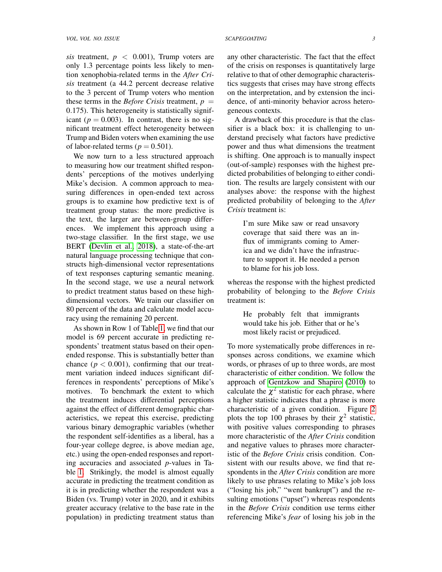*sis* treatment,  $p \leq 0.001$ , Trump voters are only 1.3 percentage points less likely to mention xenophobia-related terms in the *After Crisis* treatment (a 44.2 percent decrease relative to the 3 percent of Trump voters who mention these terms in the *Before Crisis* treatment,  $p =$ 0.175). This heterogeneity is statistically significant ( $p = 0.003$ ). In contrast, there is no significant treatment effect heterogeneity between Trump and Biden voters when examining the use of labor-related terms ( $p = 0.501$ ).

We now turn to a less structured approach to measuring how our treatment shifted respondents' perceptions of the motives underlying Mike's decision. A common approach to measuring differences in open-ended text across groups is to examine how predictive text is of treatment group status: the more predictive is the text, the larger are between-group differences. We implement this approach using a two-stage classifier. In the first stage, we use BERT [\(Devlin et al., 2018\)](#page-5-8), a state-of-the-art natural language processing technique that constructs high-dimensional vector representations of text responses capturing semantic meaning. In the second stage, we use a neural network to predict treatment status based on these highdimensional vectors. We train our classifier on 80 percent of the data and calculate model accuracy using the remaining 20 percent.

As shown in Row 1 of Table [1,](#page-4-5) we find that our model is 69 percent accurate in predicting respondents' treatment status based on their openended response. This is substantially better than chance ( $p < 0.001$ ), confirming that our treatment variation indeed induces significant differences in respondents' perceptions of Mike's motives. To benchmark the extent to which the treatment induces differential perceptions against the effect of different demographic characteristics, we repeat this exercise, predicting various binary demographic variables (whether the respondent self-identifies as a liberal, has a four-year college degree, is above median age, etc.) using the open-ended responses and reporting accuracies and associated *p*-values in Table [1.](#page-4-5) Strikingly, the model is almost equally accurate in predicting the treatment condition as it is in predicting whether the respondent was a Biden (vs. Trump) voter in 2020, and it exhibits greater accuracy (relative to the base rate in the population) in predicting treatment status than any other characteristic. The fact that the effect of the crisis on responses is quantitatively large relative to that of other demographic characteristics suggests that crises may have strong effects on the interpretation, and by extension the incidence, of anti-minority behavior across heterogeneous contexts.

A drawback of this procedure is that the classifier is a black box: it is challenging to understand precisely what factors have predictive power and thus what dimensions the treatment is shifting. One approach is to manually inspect (out-of-sample) responses with the highest predicted probabilities of belonging to either condition. The results are largely consistent with our analyses above: the response with the highest predicted probability of belonging to the *After Crisis* treatment is:

> I'm sure Mike saw or read unsavory coverage that said there was an influx of immigrants coming to America and we didn't have the infrastructure to support it. He needed a person to blame for his job loss.

whereas the response with the highest predicted probability of belonging to the *Before Crisis* treatment is:

> He probably felt that immigrants would take his job. Either that or he's most likely racist or prejudiced.

To more systematically probe differences in responses across conditions, we examine which words, or phrases of up to three words, are most characteristic of either condition. We follow the approach of [Gentzkow and Shapiro](#page-5-9) [\(2010\)](#page-5-9) to calculate the  $\chi^2$  statistic for each phrase, where a higher statistic indicates that a phrase is more characteristic of a given condition. Figure [2](#page-6-0) plots the top 100 phrases by their  $\chi^2$  statistic, with positive values corresponding to phrases more characteristic of the *After Crisis* condition and negative values to phrases more characteristic of the *Before Crisis* crisis condition. Consistent with our results above, we find that respondents in the *After Crisis* condition are more likely to use phrases relating to Mike's job loss ("losing his job," "went bankrupt") and the resulting emotions ("upset") whereas respondents in the *Before Crisis* condition use terms either referencing Mike's *fear* of losing his job in the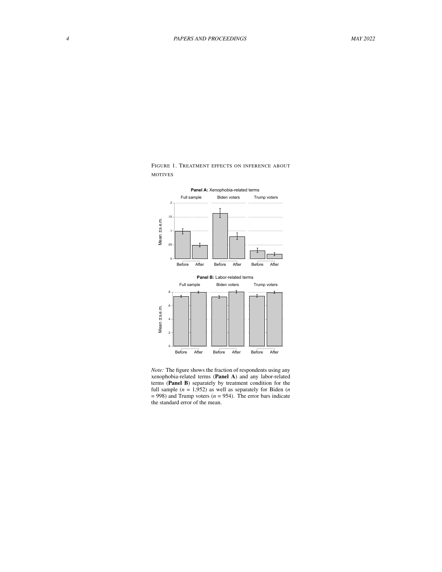

<span id="page-3-0"></span>FIGURE 1. TREATMENT EFFECTS ON INFERENCE ABOUT MOTIVES

*Note:* The figure shows the fraction of respondents using any xenophobia-related terms (Panel A) and any labor-related terms (Panel B) separately by treatment condition for the full sample (*n* = 1,952) as well as separately for Biden (*n*  $= 998$ ) and Trump voters ( $n = 954$ ). The error bars indicate the standard error of the mean.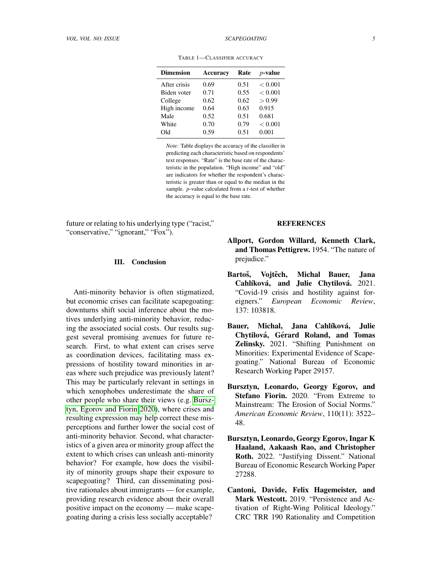| <b>Dimension</b> | Accuracy | Rate | $p$ -value |
|------------------|----------|------|------------|
| After crisis     | 0.69     | 0.51 | < 0.001    |
| Biden voter      | 0.71     | 0.55 | < 0.001    |
| College          | 0.62     | 0.62 | > 0.99     |
| High income      | 0.64     | 0.63 | 0.915      |
| Male             | 0.52     | 0.51 | 0.681      |
| White            | 0.70     | 0.79 | < 0.001    |
| Old              | 0.59     | 0.51 | 0.001      |

<span id="page-4-5"></span>TABLE 1—CLASSIFIER ACCURACY

*Note:* Table displays the accuracy of the classifier in predicting each characteristic based on respondents' text responses. "Rate" is the base rate of the characteristic in the population. "High income" and "old" are indicators for whether the respondent's characteristic is greater than or equal to the median in the sample. *p*-value calculated from a *t*-test of whether the accuracy is equal to the base rate.

future or relating to his underlying type ("racist," "conservative," "ignorant," "Fox").

## III. Conclusion

Anti-minority behavior is often stigmatized, but economic crises can facilitate scapegoating: downturns shift social inference about the motives underlying anti-minority behavior, reducing the associated social costs. Our results suggest several promising avenues for future research. First, to what extent can crises serve as coordination devices, facilitating mass expressions of hostility toward minorities in areas where such prejudice was previously latent? This may be particularly relevant in settings in which xenophobes underestimate the share of other people who share their views (e.g. [Bursz](#page-4-6)[tyn, Egorov and Fiorin 2020\)](#page-4-6), where crises and resulting expression may help correct these misperceptions and further lower the social cost of anti-minority behavior. Second, what characteristics of a given area or minority group affect the extent to which crises can unleash anti-minority behavior? For example, how does the visibility of minority groups shape their exposure to scapegoating? Third, can disseminating positive rationales about immigrants — for example, providing research evidence about their overall positive impact on the economy — make scapegoating during a crisis less socially acceptable?

### **REFERENCES**

- <span id="page-4-0"></span>Allport, Gordon Willard, Kenneth Clark, and Thomas Pettigrew. 1954. "The nature of prejudice."
- <span id="page-4-1"></span>Bartoš, Vojtěch, Michal Bauer, Jana Cahlíková, and Julie Chytilová. 2021. "Covid-19 crisis and hostility against foreigners." *European Economic Review*, 137: 103818.
- <span id="page-4-2"></span>Bauer, Michal, Jana Cahlíková, Julie Chytilová, Gérard Roland, and Tomas Zelinsky. 2021. "Shifting Punishment on Minorities: Experimental Evidence of Scapegoating." National Bureau of Economic Research Working Paper 29157.
- <span id="page-4-6"></span>Bursztyn, Leonardo, Georgy Egorov, and Stefano Fiorin. 2020. "From Extreme to Mainstream: The Erosion of Social Norms." *American Economic Review*, 110(11): 3522– 48.
- <span id="page-4-3"></span>Bursztyn, Leonardo, Georgy Egorov, Ingar K Haaland, Aakaash Rao, and Christopher Roth. 2022. "Justifying Dissent." National Bureau of Economic Research Working Paper 27288.
- <span id="page-4-4"></span>Cantoni, Davide, Felix Hagemeister, and Mark Westcott. 2019. "Persistence and Activation of Right-Wing Political Ideology." CRC TRR 190 Rationality and Competition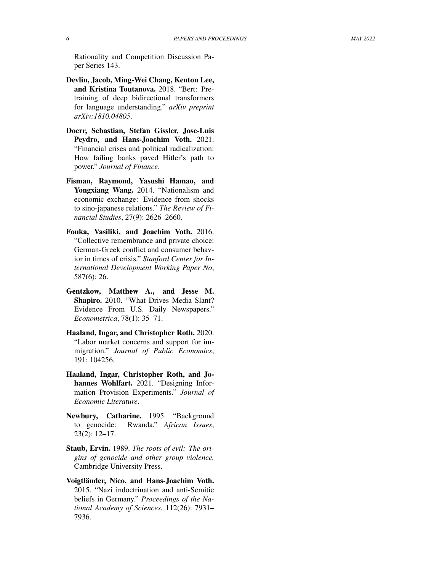Rationality and Competition Discussion Paper Series 143.

- <span id="page-5-8"></span>Devlin, Jacob, Ming-Wei Chang, Kenton Lee, and Kristina Toutanova. 2018. "Bert: Pretraining of deep bidirectional transformers for language understanding." *arXiv preprint arXiv:1810.04805*.
- <span id="page-5-1"></span>Doerr, Sebastian, Stefan Gissler, Jose-Luis Peydro, and Hans-Joachim Voth. 2021. "Financial crises and political radicalization: How failing banks paved Hitler's path to power." *Journal of Finance*.
- <span id="page-5-4"></span>Fisman, Raymond, Yasushi Hamao, and Yongxiang Wang. 2014. "Nationalism and economic exchange: Evidence from shocks to sino-japanese relations." *The Review of Financial Studies*, 27(9): 2626–2660.
- <span id="page-5-5"></span>Fouka, Vasiliki, and Joachim Voth. 2016. "Collective remembrance and private choice: German-Greek conflict and consumer behavior in times of crisis." *Stanford Center for International Development Working Paper No*, 587(6): 26.
- <span id="page-5-9"></span>Gentzkow, Matthew A., and Jesse M. Shapiro. 2010. "What Drives Media Slant? Evidence From U.S. Daily Newspapers." *Econometrica*, 78(1): 35–71.
- <span id="page-5-6"></span>Haaland, Ingar, and Christopher Roth. 2020. "Labor market concerns and support for immigration." *Journal of Public Economics*, 191: 104256.
- <span id="page-5-7"></span>Haaland, Ingar, Christopher Roth, and Johannes Wohlfart. 2021. "Designing Information Provision Experiments." *Journal of Economic Literature*.
- <span id="page-5-2"></span>Newbury, Catharine. 1995. "Background to genocide: Rwanda." *African Issues*, 23(2): 12–17.
- <span id="page-5-0"></span>Staub, Ervin. 1989. *The roots of evil: The origins of genocide and other group violence.* Cambridge University Press.
- <span id="page-5-3"></span>Voigtländer, Nico, and Hans-Joachim Voth. 2015. "Nazi indoctrination and anti-Semitic beliefs in Germany." *Proceedings of the National Academy of Sciences*, 112(26): 7931– 7936.